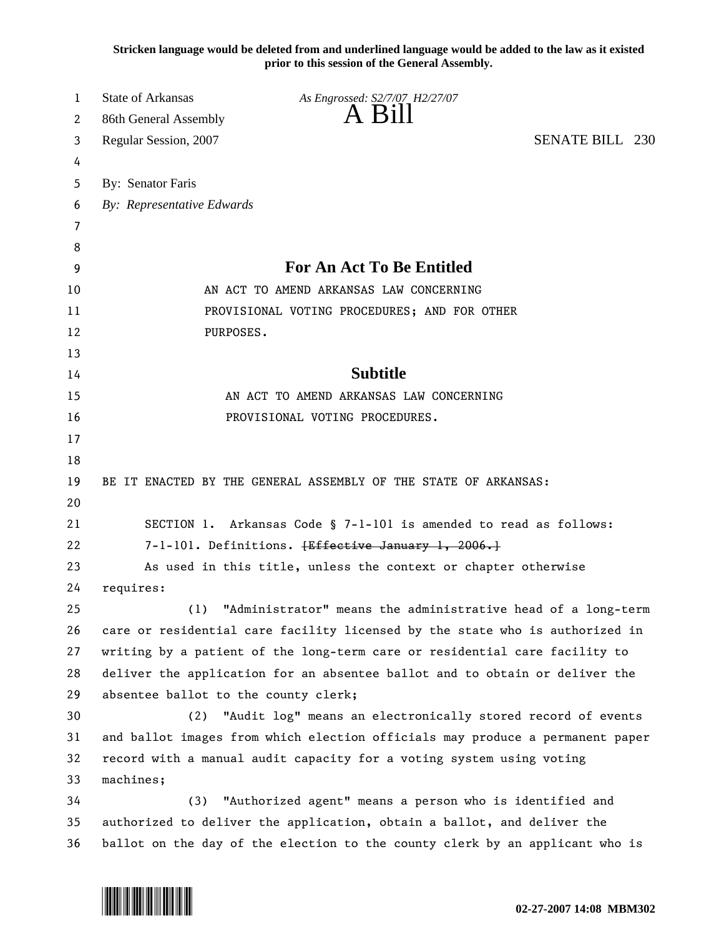**Stricken language would be deleted from and underlined language would be added to the law as it existed prior to this session of the General Assembly.**

| 1        | <b>State of Arkansas</b>             | As Engrossed: S2/7/07 H2/27/07                                                |                        |  |
|----------|--------------------------------------|-------------------------------------------------------------------------------|------------------------|--|
| 2        | 86th General Assembly                | $A$ Bill                                                                      |                        |  |
| 3        | Regular Session, 2007                |                                                                               | <b>SENATE BILL 230</b> |  |
| 4        |                                      |                                                                               |                        |  |
| 5        | By: Senator Faris                    |                                                                               |                        |  |
| 6        | By: Representative Edwards           |                                                                               |                        |  |
| 7        |                                      |                                                                               |                        |  |
| 8        |                                      |                                                                               |                        |  |
| 9        |                                      | <b>For An Act To Be Entitled</b>                                              |                        |  |
| 10       |                                      | AN ACT TO AMEND ARKANSAS LAW CONCERNING                                       |                        |  |
| 11       |                                      | PROVISIONAL VOTING PROCEDURES; AND FOR OTHER                                  |                        |  |
| 12       | PURPOSES.                            |                                                                               |                        |  |
| 13       |                                      |                                                                               |                        |  |
| 14       |                                      | <b>Subtitle</b>                                                               |                        |  |
| 15       |                                      | AN ACT TO AMEND ARKANSAS LAW CONCERNING                                       |                        |  |
| 16       |                                      | PROVISIONAL VOTING PROCEDURES.                                                |                        |  |
| 17       |                                      |                                                                               |                        |  |
| 18       |                                      |                                                                               |                        |  |
| 19       |                                      | BE IT ENACTED BY THE GENERAL ASSEMBLY OF THE STATE OF ARKANSAS:               |                        |  |
| 20       |                                      |                                                                               |                        |  |
| 21       |                                      | SECTION 1. Arkansas Code § 7-1-101 is amended to read as follows:             |                        |  |
| 22       |                                      | 7-1-101. Definitions. <del>[Effective January 1, 2006.]</del>                 |                        |  |
| 23       |                                      | As used in this title, unless the context or chapter otherwise                |                        |  |
| 24       | requires:                            |                                                                               |                        |  |
| 25       | (1)                                  | "Administrator" means the administrative head of a long-term                  |                        |  |
| 26       |                                      | care or residential care facility licensed by the state who is authorized in  |                        |  |
| 27       |                                      | writing by a patient of the long-term care or residential care facility to    |                        |  |
| 28<br>29 | absentee ballot to the county clerk; | deliver the application for an absentee ballot and to obtain or deliver the   |                        |  |
| 30       | (2)                                  | "Audit log" means an electronically stored record of events                   |                        |  |
| 31       |                                      | and ballot images from which election officials may produce a permanent paper |                        |  |
| 32       |                                      | record with a manual audit capacity for a voting system using voting          |                        |  |
| 33       | machines;                            |                                                                               |                        |  |
| 34       | (3)                                  | "Authorized agent" means a person who is identified and                       |                        |  |
| 35       |                                      | authorized to deliver the application, obtain a ballot, and deliver the       |                        |  |
| 36       |                                      | ballot on the day of the election to the county clerk by an applicant who is  |                        |  |

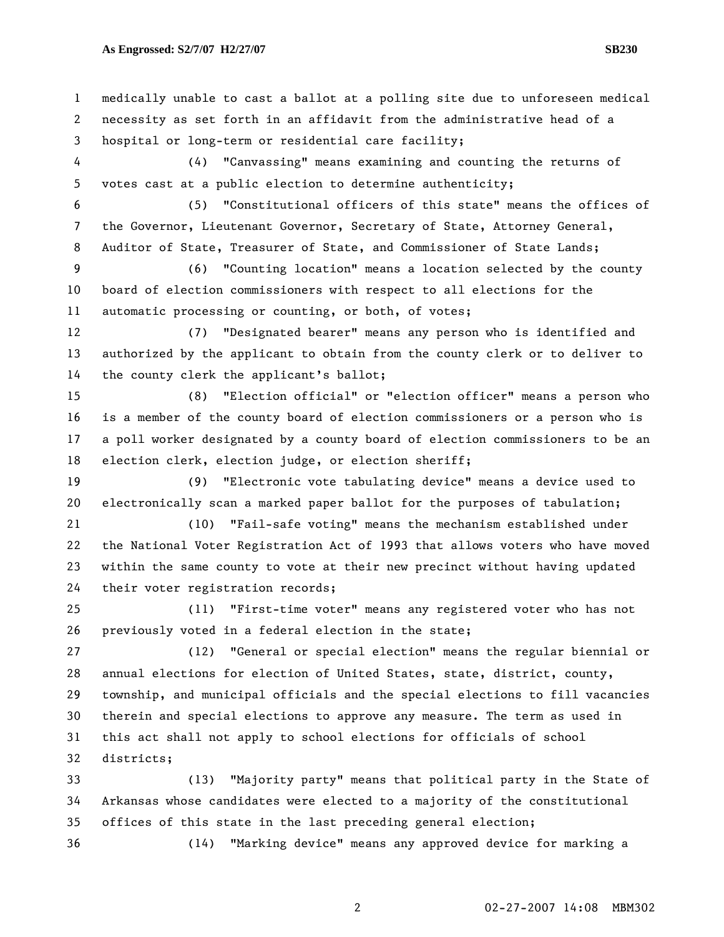## **As Engrossed: S2/7/07 H2/27/07 SB230**

1 medically unable to cast a ballot at a polling site due to unforeseen medical 2 necessity as set forth in an affidavit from the administrative head of a 3 hospital or long-term or residential care facility; 4 (4) "Canvassing" means examining and counting the returns of 5 votes cast at a public election to determine authenticity; 6 (5) "Constitutional officers of this state" means the offices of 7 the Governor, Lieutenant Governor, Secretary of State, Attorney General, 8 Auditor of State, Treasurer of State, and Commissioner of State Lands; 9 (6) "Counting location" means a location selected by the county 10 board of election commissioners with respect to all elections for the 11 automatic processing or counting, or both, of votes; 12 (7) "Designated bearer" means any person who is identified and 13 authorized by the applicant to obtain from the county clerk or to deliver to 14 the county clerk the applicant's ballot; 15 (8) "Election official" or "election officer" means a person who 16 is a member of the county board of election commissioners or a person who is 17 a poll worker designated by a county board of election commissioners to be an 18 election clerk, election judge, or election sheriff; 19 (9) "Electronic vote tabulating device" means a device used to 20 electronically scan a marked paper ballot for the purposes of tabulation; 21 (10) "Fail-safe voting" means the mechanism established under 22 the National Voter Registration Act of 1993 that allows voters who have moved 23 within the same county to vote at their new precinct without having updated 24 their voter registration records; 25 (11) "First-time voter" means any registered voter who has not 26 previously voted in a federal election in the state; 27 (12) "General or special election" means the regular biennial or 28 annual elections for election of United States, state, district, county, 29 township, and municipal officials and the special elections to fill vacancies 30 therein and special elections to approve any measure. The term as used in 31 this act shall not apply to school elections for officials of school 32 districts; 33 (13) "Majority party" means that political party in the State of 34 Arkansas whose candidates were elected to a majority of the constitutional 35 offices of this state in the last preceding general election; 36 (14) "Marking device" means any approved device for marking a

2 02-27-2007 14:08 MBM302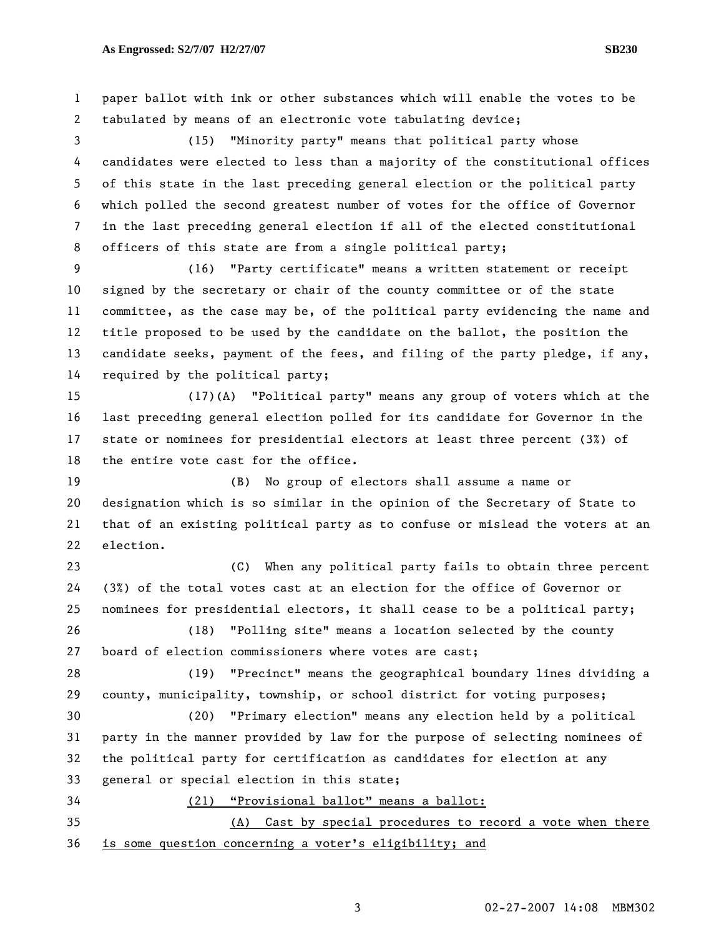2 tabulated by means of an electronic vote tabulating device; 3 (15) "Minority party" means that political party whose 4 candidates were elected to less than a majority of the constitutional offices 5 of this state in the last preceding general election or the political party 6 which polled the second greatest number of votes for the office of Governor 7 in the last preceding general election if all of the elected constitutional 8 officers of this state are from a single political party; 9 (16) "Party certificate" means a written statement or receipt 10 signed by the secretary or chair of the county committee or of the state 11 committee, as the case may be, of the political party evidencing the name and 12 title proposed to be used by the candidate on the ballot, the position the 13 candidate seeks, payment of the fees, and filing of the party pledge, if any, 14 required by the political party; 15 (17)(A) "Political party" means any group of voters which at the 16 last preceding general election polled for its candidate for Governor in the 17 state or nominees for presidential electors at least three percent (3%) of 18 the entire vote cast for the office. 19 (B) No group of electors shall assume a name or 20 designation which is so similar in the opinion of the Secretary of State to 21 that of an existing political party as to confuse or mislead the voters at an 22 election. 23 (C) When any political party fails to obtain three percent 24 (3%) of the total votes cast at an election for the office of Governor or 25 nominees for presidential electors, it shall cease to be a political party; 26 (18) "Polling site" means a location selected by the county 27 board of election commissioners where votes are cast; 28 (19) "Precinct" means the geographical boundary lines dividing a 29 county, municipality, township, or school district for voting purposes; 30 (20) "Primary election" means any election held by a political 31 party in the manner provided by law for the purpose of selecting nominees of 32 the political party for certification as candidates for election at any 33 general or special election in this state; 34 (21) "Provisional ballot" means a ballot: 35 (A) Cast by special procedures to record a vote when there 36 is some question concerning a voter's eligibility; and

1 paper ballot with ink or other substances which will enable the votes to be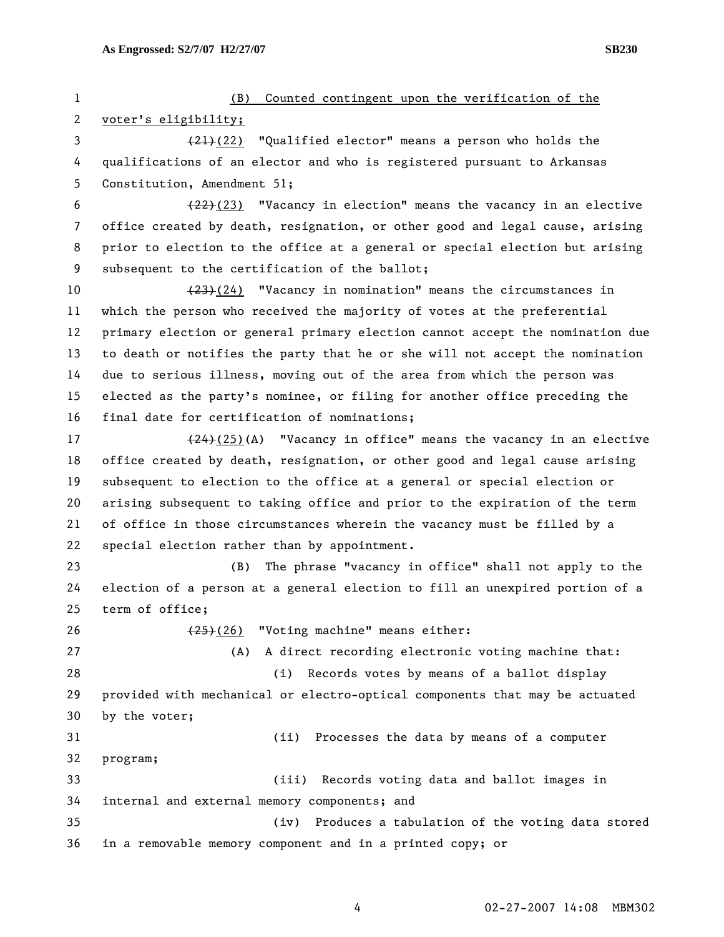1 (B) Counted contingent upon the verification of the 2 voter's eligibility; 3  $(21)(22)$  "Qualified elector" means a person who holds the 4 qualifications of an elector and who is registered pursuant to Arkansas 5 Constitution, Amendment 51; 6  $(22)(23)$  "Vacancy in election" means the vacancy in an elective 7 office created by death, resignation, or other good and legal cause, arising 8 prior to election to the office at a general or special election but arising 9 subsequent to the certification of the ballot; 10 (23)(24) "Vacancy in nomination" means the circumstances in 11 which the person who received the majority of votes at the preferential 12 primary election or general primary election cannot accept the nomination due 13 to death or notifies the party that he or she will not accept the nomination 14 due to serious illness, moving out of the area from which the person was 15 elected as the party's nominee, or filing for another office preceding the 16 final date for certification of nominations; 17  $(24)(25)(A)$  "Vacancy in office" means the vacancy in an elective 18 office created by death, resignation, or other good and legal cause arising 19 subsequent to election to the office at a general or special election or 20 arising subsequent to taking office and prior to the expiration of the term 21 of office in those circumstances wherein the vacancy must be filled by a 22 special election rather than by appointment. 23 (B) The phrase "vacancy in office" shall not apply to the 24 election of a person at a general election to fill an unexpired portion of a 25 term of office; 26 (25)(26) "Voting machine" means either: 27 (A) A direct recording electronic voting machine that: 28 (i) Records votes by means of a ballot display 29 provided with mechanical or electro-optical components that may be actuated 30 by the voter; 31 (ii) Processes the data by means of a computer 32 program; 33 (iii) Records voting data and ballot images in 34 internal and external memory components; and 35 (iv) Produces a tabulation of the voting data stored 36 in a removable memory component and in a printed copy; or

4 02-27-2007 14:08 MBM302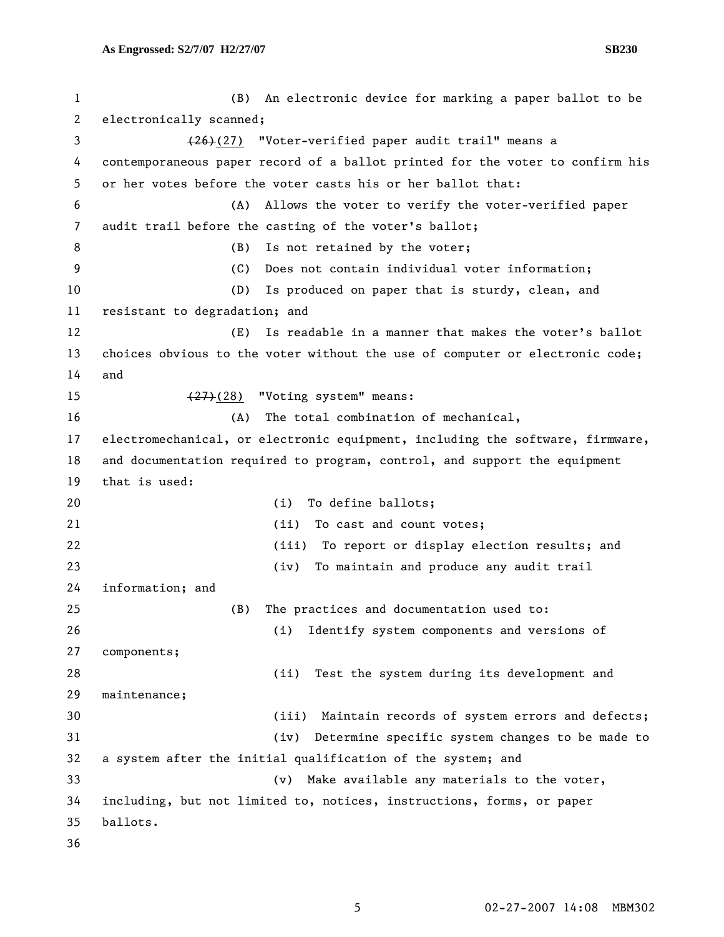1 (B) An electronic device for marking a paper ballot to be 2 electronically scanned; 3 (26)(27) "Voter-verified paper audit trail" means a 4 contemporaneous paper record of a ballot printed for the voter to confirm his 5 or her votes before the voter casts his or her ballot that: 6 (A) Allows the voter to verify the voter-verified paper 7 audit trail before the casting of the voter's ballot; 8 (B) Is not retained by the voter; 9 (C) Does not contain individual voter information; 10 (D) Is produced on paper that is sturdy, clean, and 11 resistant to degradation; and 12 (E) Is readable in a manner that makes the voter's ballot 13 choices obvious to the voter without the use of computer or electronic code; 14 and 15 (27)(28) "Voting system" means: 16 (A) The total combination of mechanical, 17 electromechanical, or electronic equipment, including the software, firmware, 18 and documentation required to program, control, and support the equipment 19 that is used: 20 (i) To define ballots; 21 (ii) To cast and count votes; 22 (iii) To report or display election results; and 23 (iv) To maintain and produce any audit trail 24 information; and 25 (B) The practices and documentation used to: 26 (i) Identify system components and versions of 27 components; 28 (ii) Test the system during its development and 29 maintenance; 30 (iii) Maintain records of system errors and defects; 31 (iv) Determine specific system changes to be made to 32 a system after the initial qualification of the system; and 33 (v) Make available any materials to the voter, 34 including, but not limited to, notices, instructions, forms, or paper 35 ballots. 36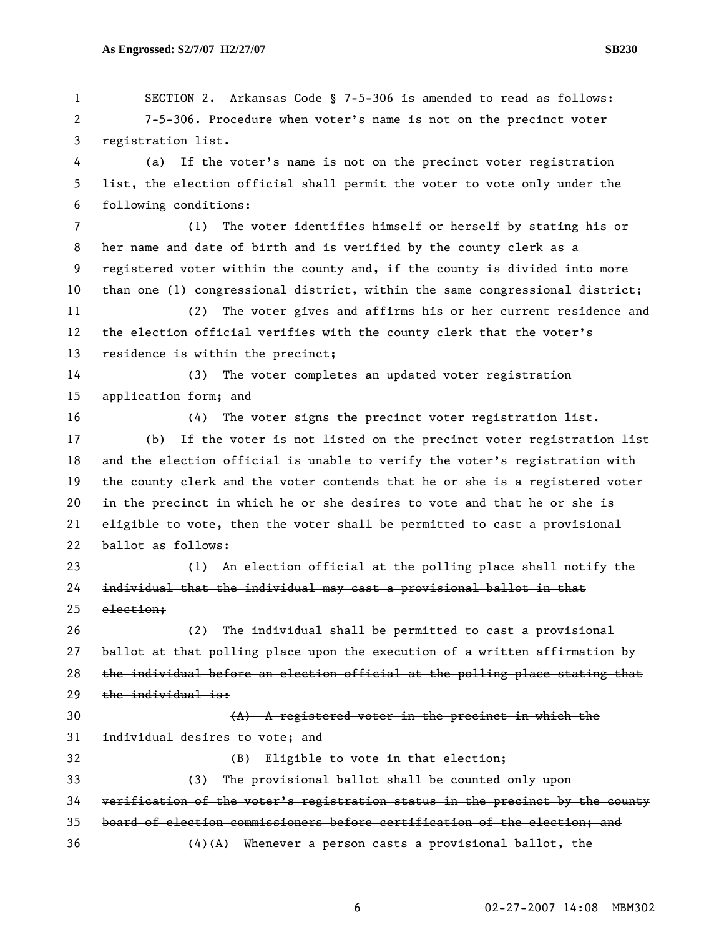1 SECTION 2. Arkansas Code § 7-5-306 is amended to read as follows: 2 7-5-306. Procedure when voter's name is not on the precinct voter 3 registration list. 4 (a) If the voter's name is not on the precinct voter registration 5 list, the election official shall permit the voter to vote only under the 6 following conditions: 7 (1) The voter identifies himself or herself by stating his or 8 her name and date of birth and is verified by the county clerk as a 9 registered voter within the county and, if the county is divided into more 10 than one (1) congressional district, within the same congressional district; 11 (2) The voter gives and affirms his or her current residence and 12 the election official verifies with the county clerk that the voter's 13 residence is within the precinct; 14 (3) The voter completes an updated voter registration 15 application form; and 16 (4) The voter signs the precinct voter registration list. 17 (b) If the voter is not listed on the precinct voter registration list 18 and the election official is unable to verify the voter's registration with 19 the county clerk and the voter contends that he or she is a registered voter 20 in the precinct in which he or she desires to vote and that he or she is 21 eligible to vote, then the voter shall be permitted to cast a provisional 22 ballot as follows: 23 (1) An election official at the polling place shall notify the 24 individual that the individual may cast a provisional ballot in that 25 election; 26 (2) The individual shall be permitted to cast a provisional 27 ballot at that polling place upon the execution of a written affirmation by 28 the individual before an election official at the polling place stating that 29 the individual is:  $(A)$  A registered voter in the precinct in which the 31 individual desires to vote; and 32 **(B)** Eligible to vote in that election; 33 (3) The provisional ballot shall be counted only upon 34 verification of the voter's registration status in the precinct by the county 35 board of election commissioners before certification of the election; and  $(4)(A)$  Whenever a person casts a provisional ballot, the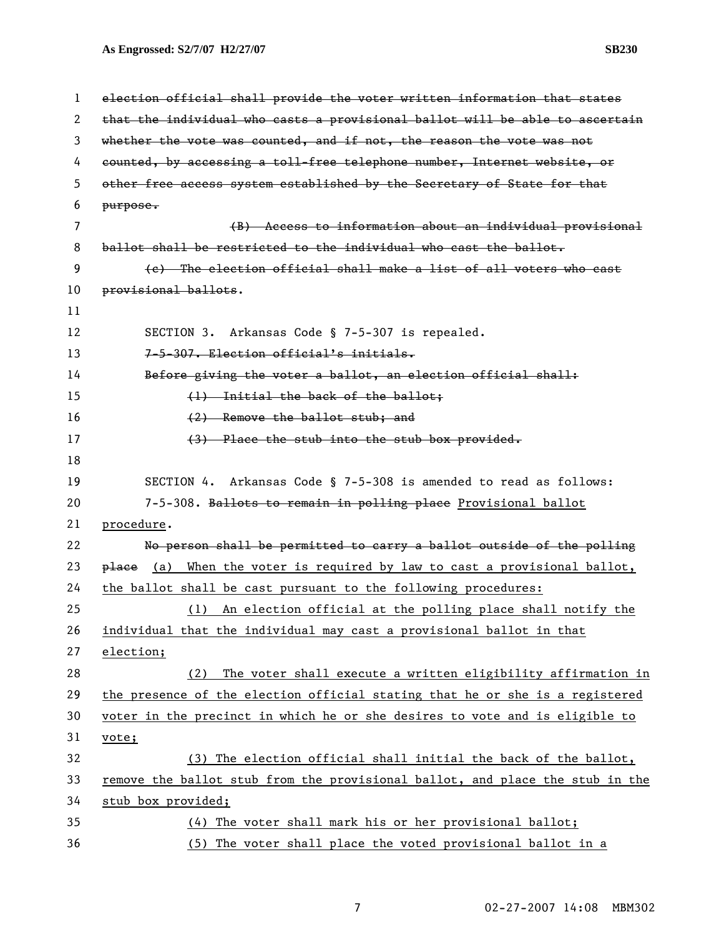| 1              | election official shall provide the voter written information that states     |
|----------------|-------------------------------------------------------------------------------|
| 2              | that the individual who casts a provisional ballot will be able to ascertain  |
| 3              | whether the vote was counted, and if not, the reason the vote was not         |
| 4              | counted, by accessing a toll-free telephone number, Internet website, or      |
| 5              | other free access system established by the Secretary of State for that       |
| 6              | purpose.                                                                      |
| $\overline{7}$ | (B) Access to information about an individual provisional                     |
| 8              | ballot shall be restricted to the individual who cast the ballot.             |
| 9              | (e) The election official shall make a list of all voters who cast            |
| 10             | provisional ballots.                                                          |
| 11             |                                                                               |
| 12             | SECTION 3. Arkansas Code § 7-5-307 is repealed.                               |
| 13             | 7-5-307. Election official's initials.                                        |
| 14             | Before giving the voter a ballot, an election official shall:                 |
| 15             | (1) Initial the back of the ballot:                                           |
| 16             | $(2)$ Remove the ballot stub; and                                             |
| 17             | $(3)$ Place the stub into the stub box provided.                              |
| 18             |                                                                               |
| 19             | SECTION 4. Arkansas Code § 7-5-308 is amended to read as follows:             |
| 20             | 7-5-308. Ballots to remain in polling place Provisional ballot                |
| 21             | procedure.                                                                    |
| 22             | No person shall be permitted to carry a ballot outside of the polling         |
| 23             | place (a) When the voter is required by law to cast a provisional ballot,     |
| 24             | the ballot shall be cast pursuant to the following procedures:                |
| 25             | (1) An election official at the polling place shall notify the                |
| 26             | individual that the individual may cast a provisional ballot in that          |
| 27             | election;                                                                     |
| 28             | The voter shall execute a written eligibility affirmation in<br>(2)           |
| 29             | the presence of the election official stating that he or she is a registered  |
| 30             | voter in the precinct in which he or she desires to vote and is eligible to   |
| 31             | vote;                                                                         |
| 32             | (3) The election official shall initial the back of the ballot,               |
| 33             | remove the ballot stub from the provisional ballot, and place the stub in the |
| 34             | stub box provided;                                                            |
| 35             | (4) The voter shall mark his or her provisional ballot;                       |
| 36             | (5) The voter shall place the voted provisional ballot in a                   |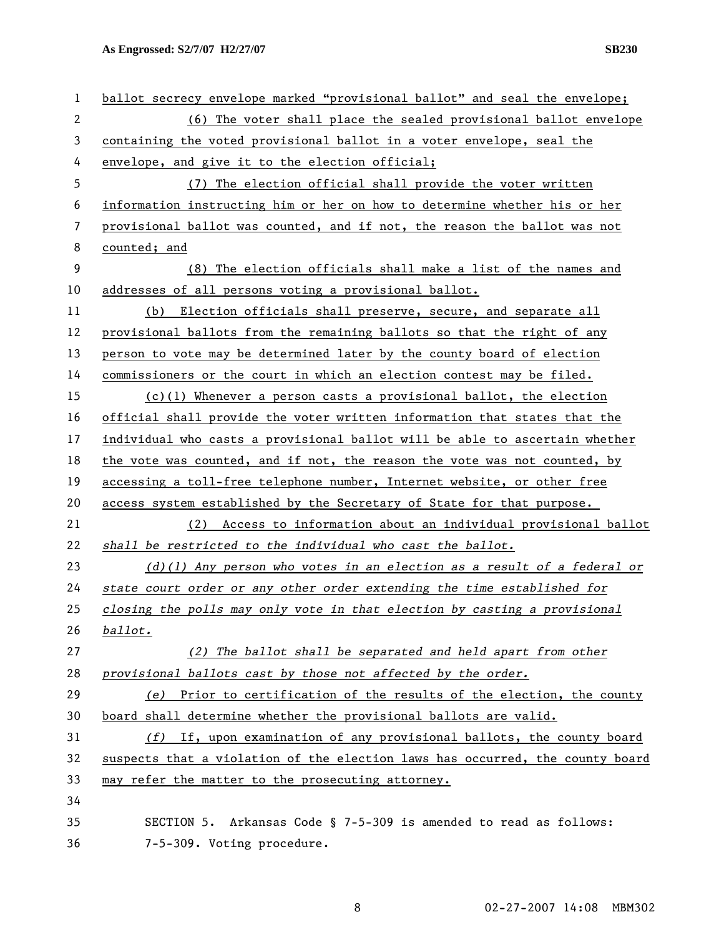| 1              | ballot secrecy envelope marked "provisional ballot" and seal the envelope;    |
|----------------|-------------------------------------------------------------------------------|
| $\overline{2}$ | (6) The voter shall place the sealed provisional ballot envelope              |
| 3              | containing the voted provisional ballot in a voter envelope, seal the         |
| 4              | envelope, and give it to the election official;                               |
| 5              | (7) The election official shall provide the voter written                     |
| 6              | information instructing him or her on how to determine whether his or her     |
| 7              | provisional ballot was counted, and if not, the reason the ballot was not     |
| 8              | counted; and                                                                  |
| 9              | (8) The election officials shall make a list of the names and                 |
| 10             | addresses of all persons voting a provisional ballot.                         |
| 11             | Election officials shall preserve, secure, and separate all<br>(b)            |
| 12             | provisional ballots from the remaining ballots so that the right of any       |
| 13             | person to vote may be determined later by the county board of election        |
| 14             | commissioners or the court in which an election contest may be filed.         |
| 15             | $(c)(1)$ Whenever a person casts a provisional ballot, the election           |
| 16             | official shall provide the voter written information that states that the     |
| 17             | individual who casts a provisional ballot will be able to ascertain whether   |
| 18             | the vote was counted, and if not, the reason the vote was not counted, by     |
| 19             | accessing a toll-free telephone number, Internet website, or other free       |
| 20             | access system established by the Secretary of State for that purpose.         |
| 21             | (2) Access to information about an individual provisional ballot              |
| 22             | shall be restricted to the individual who cast the ballot.                    |
| 23             | $(d)(1)$ Any person who votes in an election as a result of a federal or      |
| 24             | state court order or any other order extending the time established for       |
| 25             | closing the polls may only vote in that election by casting a provisional     |
| 26             | ballot.                                                                       |
| 27             | (2) The ballot shall be separated and held apart from other                   |
| 28             | provisional ballots cast by those not affected by the order.                  |
| 29             | (e) Prior to certification of the results of the election, the county         |
| 30             | board shall determine whether the provisional ballots are valid.              |
| 31             | $(f)$ If, upon examination of any provisional ballots, the county board       |
| 32             | suspects that a violation of the election laws has occurred, the county board |
| 33             | may refer the matter to the prosecuting attorney.                             |
| 34             |                                                                               |
| 35             | SECTION 5. Arkansas Code § 7-5-309 is amended to read as follows:             |
| 36             | 7-5-309. Voting procedure.                                                    |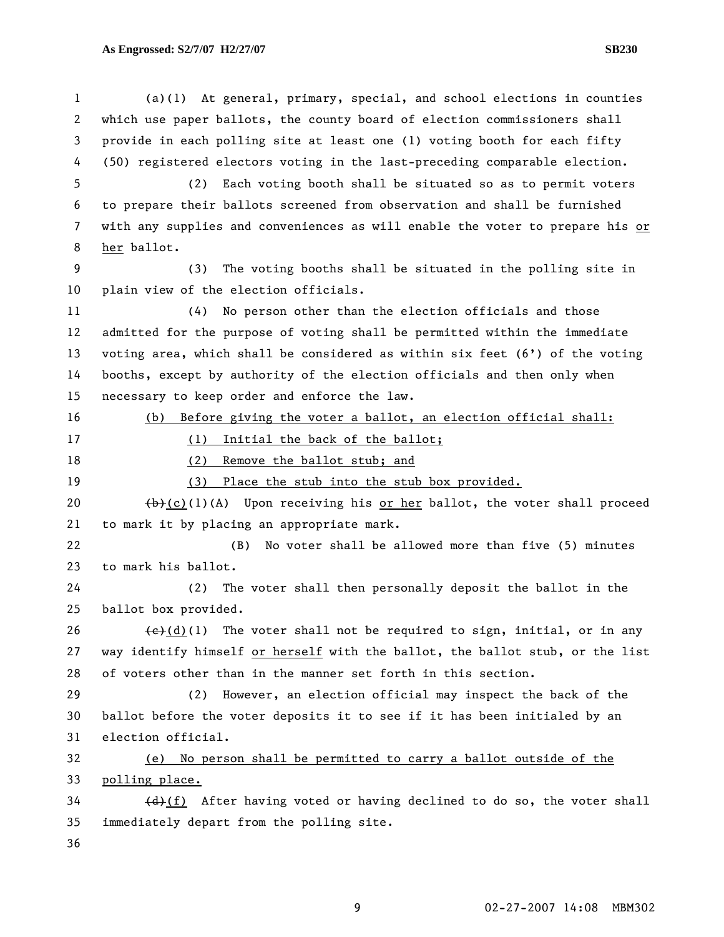8 her ballot.

1 (a)(1) At general, primary, special, and school elections in counties 2 which use paper ballots, the county board of election commissioners shall 3 provide in each polling site at least one (1) voting booth for each fifty 4 (50) registered electors voting in the last-preceding comparable election. 5 (2) Each voting booth shall be situated so as to permit voters 6 to prepare their ballots screened from observation and shall be furnished 7 with any supplies and conveniences as will enable the voter to prepare his or 9 (3) The voting booths shall be situated in the polling site in 10 plain view of the election officials. 11 (4) No person other than the election officials and those 12 admitted for the purpose of voting shall be permitted within the immediate 13 voting area, which shall be considered as within six feet (6') of the voting 14 booths, except by authority of the election officials and then only when 15 necessary to keep order and enforce the law. 16 (b) Before giving the voter a ballot, an election official shall: 17 (1) Initial the back of the ballot; 18 (2) Remove the ballot stub; and

19 (3) Place the stub into the stub box provided.

20  $(b)+(c)(1)(A)$  Upon receiving his or her ballot, the voter shall proceed 21 to mark it by placing an appropriate mark.

22 (B) No voter shall be allowed more than five (5) minutes 23 to mark his ballot.

24 (2) The voter shall then personally deposit the ballot in the 25 ballot box provided.

26  $\leftarrow$  (d)(1) The voter shall not be required to sign, initial, or in any 27 way identify himself or herself with the ballot, the ballot stub, or the list 28 of voters other than in the manner set forth in this section.

29 (2) However, an election official may inspect the back of the 30 ballot before the voter deposits it to see if it has been initialed by an 31 election official.

32 (e) No person shall be permitted to carry a ballot outside of the 33 polling place.

 $34$  (d)(f) After having voted or having declined to do so, the voter shall 35 immediately depart from the polling site.

36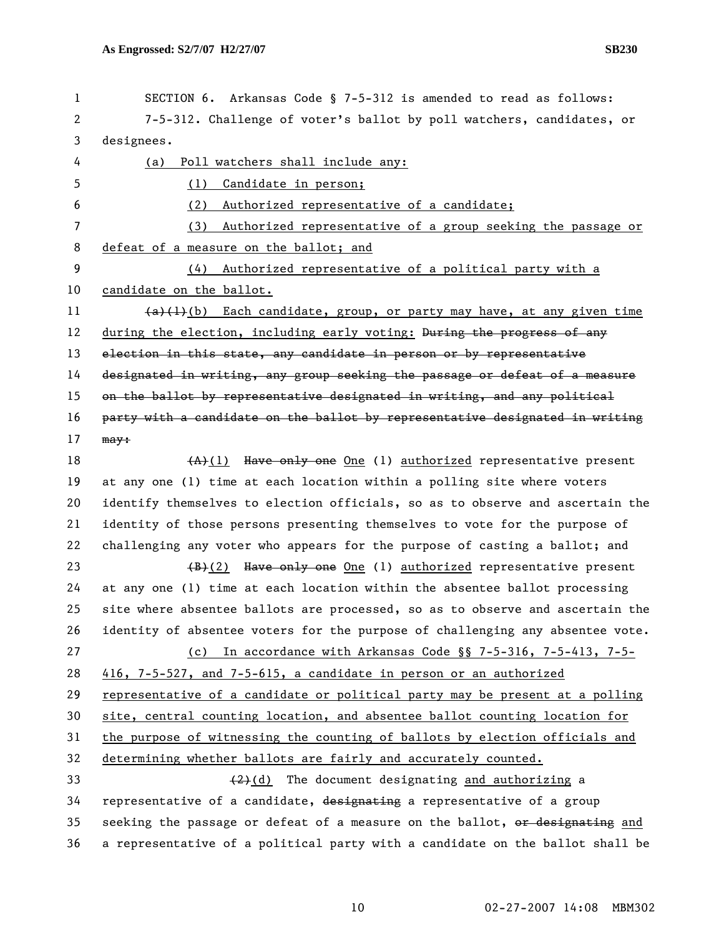| $\mathbf{1}$<br>$\mathbf{2}^{\prime}$ | SECTION 6. Arkansas Code § 7-5-312 is amended to read as follows:<br>7-5-312. Challenge of voter's ballot by poll watchers, candidates, or |
|---------------------------------------|--------------------------------------------------------------------------------------------------------------------------------------------|
| 3                                     | designees.                                                                                                                                 |
| 4                                     | Poll watchers shall include any:<br>(a)                                                                                                    |
| 5                                     | Candidate in person;<br>(1)                                                                                                                |
| 6                                     | Authorized representative of a candidate;<br>(2)                                                                                           |
| $\overline{7}$                        | Authorized representative of a group seeking the passage or<br>(3)                                                                         |
| 8                                     | defeat of a measure on the ballot; and                                                                                                     |
| 9                                     | Authorized representative of a political party with a<br>(4)                                                                               |
| 10                                    | candidate on the ballot.                                                                                                                   |
| 11                                    | $(a)$ (1)(b) Each candidate, group, or party may have, at any given time                                                                   |
| 12                                    | during the election, including early voting: During the progress of any                                                                    |
| 13                                    | election in this state, any candidate in person or by representative                                                                       |
| 14                                    | designated in writing, any group seeking the passage or defeat of a measure                                                                |
| 15                                    | on the ballot by representative designated in writing, and any political                                                                   |
| 16                                    | party with a candidate on the ballot by representative designated in writing                                                               |
| 17                                    | $may+$                                                                                                                                     |
| 18                                    | $(A)$ (1) Have only one One (1) authorized representative present                                                                          |
| 19                                    | at any one (1) time at each location within a polling site where voters                                                                    |
| 20                                    | identify themselves to election officials, so as to observe and ascertain the                                                              |
| 21                                    | identity of those persons presenting themselves to vote for the purpose of                                                                 |
| 22                                    | challenging any voter who appears for the purpose of casting a ballot; and                                                                 |
| 23                                    | Have only one One (1) authorized representative present<br><del>(B)</del> (2)                                                              |
| 24                                    | at any one (1) time at each location within the absentee ballot processing                                                                 |
| 25                                    | site where absentee ballots are processed, so as to observe and ascertain the                                                              |
| 26                                    | identity of absentee voters for the purpose of challenging any absentee vote.                                                              |
| 27                                    | In accordance with Arkansas Code $\S$ 7-5-316, 7-5-413, 7-5-<br>(c)                                                                        |
| 28                                    | 416, 7-5-527, and 7-5-615, a candidate in person or an authorized                                                                          |
| 29                                    | representative of a candidate or political party may be present at a polling                                                               |
| 30                                    | site, central counting location, and absentee ballot counting location for                                                                 |
| 31                                    | the purpose of witnessing the counting of ballots by election officials and                                                                |
| 32                                    | determining whether ballots are fairly and accurately counted.                                                                             |
| 33                                    | $(2)$ (d) The document designating and authorizing a                                                                                       |
| 34                                    | representative of a candidate, designating a representative of a group                                                                     |
| 35                                    | seeking the passage or defeat of a measure on the ballot, or designating and                                                               |
| 36                                    | a representative of a political party with a candidate on the ballot shall be                                                              |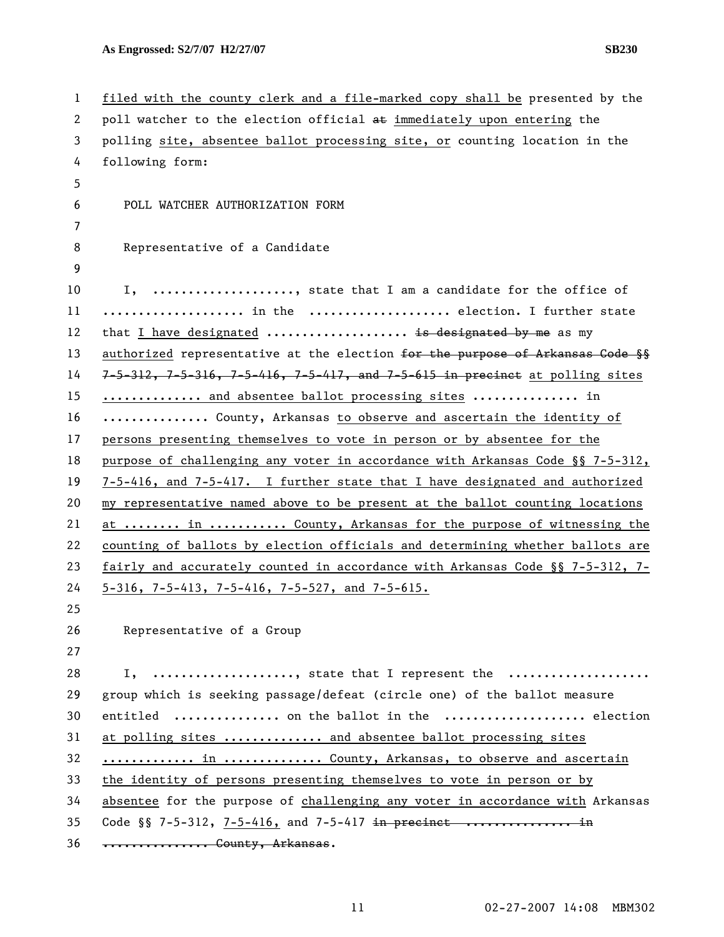| $\mathbf{1}$ | filed with the county clerk and a file-marked copy shall be presented by the               |
|--------------|--------------------------------------------------------------------------------------------|
| 2            | poll watcher to the election official at immediately upon entering the                     |
| 3            | polling site, absentee ballot processing site, or counting location in the                 |
| 4            | following form:                                                                            |
| 5            |                                                                                            |
| 6            | POLL WATCHER AUTHORIZATION FORM                                                            |
| 7            |                                                                                            |
| 8            | Representative of a Candidate                                                              |
| 9            |                                                                                            |
| 10           | I, , state that I am a candidate for the office of                                         |
| 11           | in the  election. I further state                                                          |
| 12           | that I have designated  is designated by me as my                                          |
| 13           | authorized representative at the election for the purpose of Arkansas Gode §§              |
| 14           | $7-5-312$ , $7-5-316$ , $7-5-416$ , $7-5-417$ , and $7-5-615$ in precinct at polling sites |
| 15           | and absentee ballot processing sites  in                                                   |
| 16           | County, Arkansas to observe and ascertain the identity of                                  |
| 17           | persons presenting themselves to vote in person or by absentee for the                     |
| 18           | purpose of challenging any voter in accordance with Arkansas Code §§ 7-5-312,              |
| 19           | 7-5-416, and 7-5-417. I further state that I have designated and authorized                |
| 20           | my representative named above to be present at the ballot counting locations               |
| 21           | at  in  County, Arkansas for the purpose of witnessing the                                 |
| 22           | counting of ballots by election officials and determining whether ballots are              |
| 23           | fairly and accurately counted in accordance with Arkansas Code §§ 7-5-312, 7-              |
| 24           | $5-316$ , 7-5-413, 7-5-416, 7-5-527, and 7-5-615.                                          |
| 25           |                                                                                            |
| 26           | Representative of a Group                                                                  |
| 27           |                                                                                            |
| 28           | I, , state that I represent the                                                            |
| 29           | group which is seeking passage/defeat (circle one) of the ballot measure                   |
| 30           | entitled  on the ballot in the  election                                                   |
| 31           | at polling sites  and absentee ballot processing sites                                     |
| 32           | in  County, Arkansas, to observe and ascertain                                             |
| 33           | the identity of persons presenting themselves to vote in person or by                      |
| 34           | absentee for the purpose of challenging any voter in accordance with Arkansas              |
| 35           | Code $\S$ 7-5-312, 7-5-416, and 7-5-417 in precinct  in                                    |
| 36           | *************** County, Arkansas.                                                          |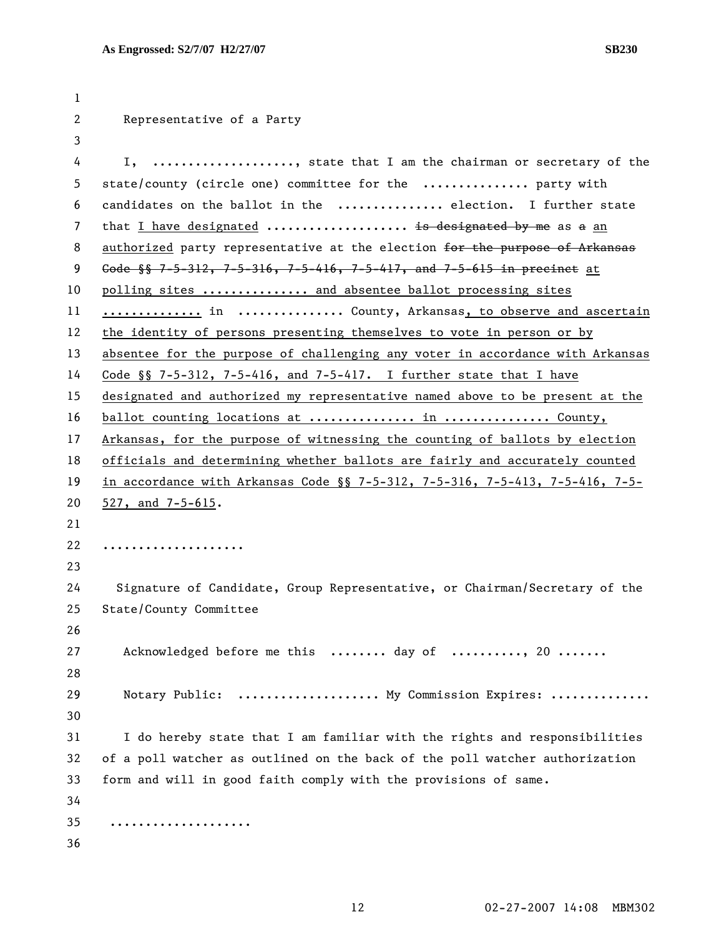| 1                     |                                                                                   |
|-----------------------|-----------------------------------------------------------------------------------|
| $\mathbf{2}^{\prime}$ | Representative of a Party                                                         |
| 3                     |                                                                                   |
| 4                     | I, , state that I am the chairman or secretary of the                             |
| 5                     | state/county (circle one) committee for the  party with                           |
| 6                     | candidates on the ballot in the  election. I further state                        |
| $\overline{7}$        | that I have designated  is designated by me as a an                               |
| 8                     | authorized party representative at the election for the purpose of Arkansas       |
| 9                     | Gode $\frac{1}{3}$ 7-5-312, 7-5-316, 7-5-416, 7-5-417, and 7-5-615 in precinct at |
| 10                    | polling sites  and absentee ballot processing sites                               |
| 11                    | in  County, Arkansas, to observe and ascertain                                    |
| 12                    | the identity of persons presenting themselves to vote in person or by             |
| 13                    | absentee for the purpose of challenging any voter in accordance with Arkansas     |
| 14                    | Code $\S$ 7-5-312, 7-5-416, and 7-5-417. I further state that I have              |
| 15                    | designated and authorized my representative named above to be present at the      |
| 16                    | ballot counting locations at  in  County,                                         |
| 17                    | Arkansas, for the purpose of witnessing the counting of ballots by election       |
| 18                    | officials and determining whether ballots are fairly and accurately counted       |
| 19                    | in accordance with Arkansas Code §§ 7-5-312, 7-5-316, 7-5-413, 7-5-416, 7-5-      |
| 20                    | $527$ , and $7-5-615$ .                                                           |
| 21                    |                                                                                   |
| 22                    | .                                                                                 |
| 23                    |                                                                                   |
| 24                    | Signature of Candidate, Group Representative, or Chairman/Secretary of the        |
| 25                    | State/County Committee                                                            |
| 26                    |                                                                                   |
| 27                    | Acknowledged before me this  day of , 20                                          |
| 28                    |                                                                                   |
| 29                    | Notary Public:  My Commission Expires:                                            |
| 30                    |                                                                                   |
| 31                    | I do hereby state that I am familiar with the rights and responsibilities         |
| 32                    | of a poll watcher as outlined on the back of the poll watcher authorization       |
| 33                    | form and will in good faith comply with the provisions of same.                   |
| 34                    |                                                                                   |
| 35                    | .                                                                                 |
| 36                    |                                                                                   |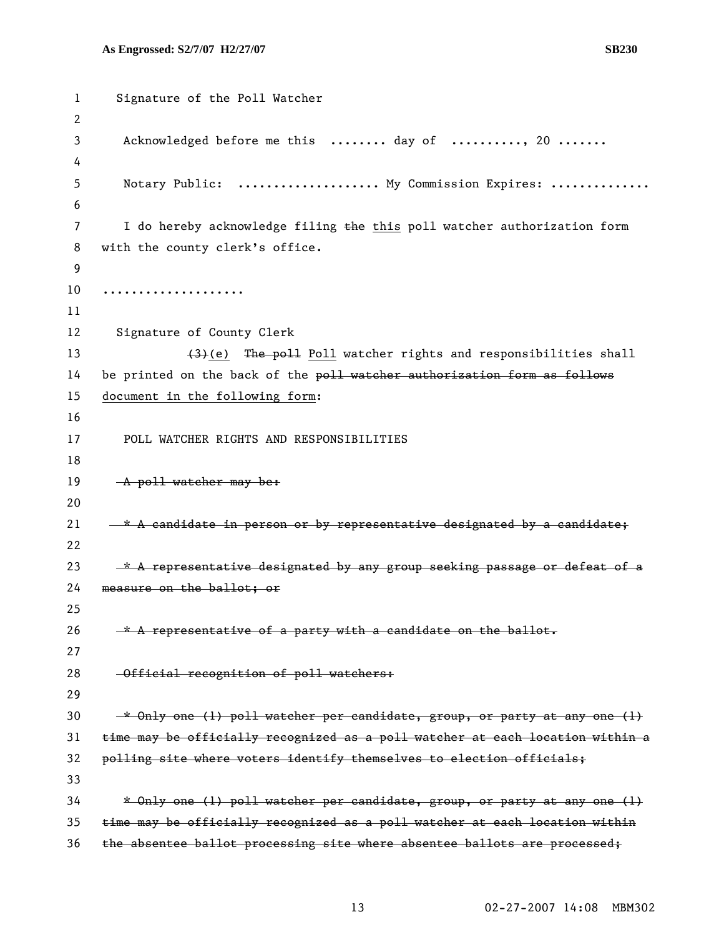```
1 Signature of the Poll Watcher 
 2 
 3 Acknowledged before me this ........ day of .........., 20 .......
 4 
5 Notary Public: ..................... My Commission Expires: ..............
 6 
7 I do hereby acknowledge filing the this poll watcher authorization form
8 with the county clerk's office. 
9 
10 .................... 
11 
12 Signature of County Clerk 
13 (3)(e) The poll Poll watcher rights and responsibilities shall
14 be printed on the back of the poll watcher authorization form as follows
15 document in the following form: 
16 
17 POLL WATCHER RIGHTS AND RESPONSIBILITIES 
18 
19 A poll watcher may be:
20 
21 -x A candidate in person or by representative designated by a candidate;
22 
23 * A representative designated by any group seeking passage or defeat of a
24 measure on the ballot; or 
25 
26 * A representative of a party with a candidate on the ballot.
27 
28 - Official recognition of poll watchers:
29 
30 * Only one (1) poll watcher per candidate, group, or party at any one (1)
31 time may be officially recognized as a poll watcher at each location within a 
32 polling site where voters identify themselves to election officials; 
33 
34 * Only one (1) poll watcher per candidate, group, or party at any one (1) 
35 time may be officially recognized as a poll watcher at each location within 
36 the absentee ballot processing site where absentee ballots are processed;
```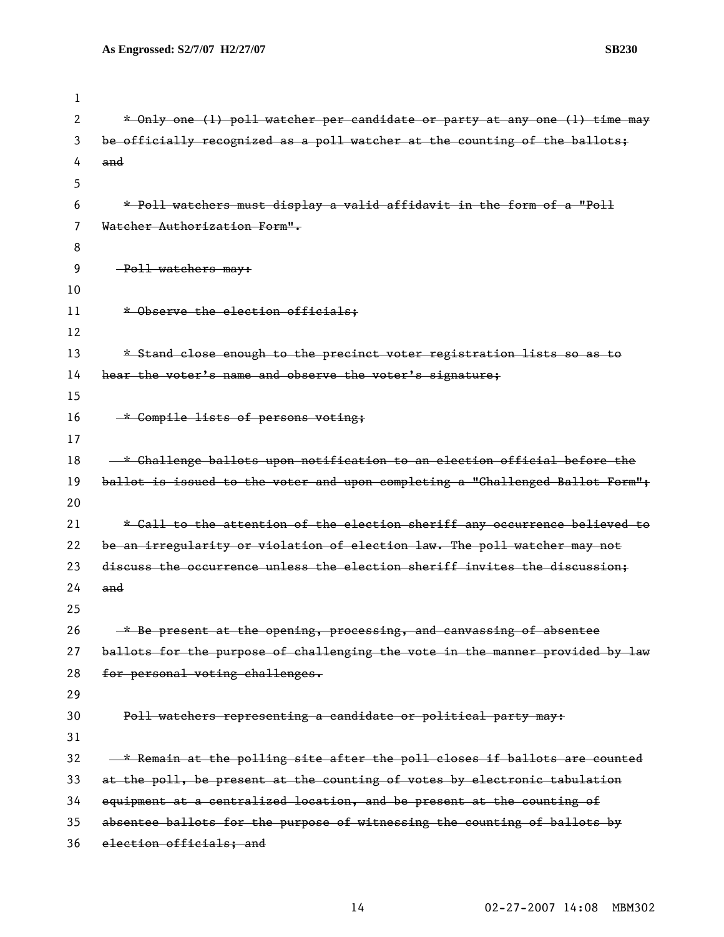| ш<br>. . |
|----------|
|----------|

| 1  |                                                                               |
|----|-------------------------------------------------------------------------------|
| 2  | * Only one (1) poll watcher per candidate or party at any one (1) time may    |
| 3  | be officially recognized as a poll watcher at the counting of the ballots;    |
| 4  | and                                                                           |
| 5  |                                                                               |
| 6  | * Poll watchers must display a valid affidavit in the form of a "Poll         |
| 7  | Watcher Authorization Form".                                                  |
| 8  |                                                                               |
| 9  | -Poll watchers may:                                                           |
| 10 |                                                                               |
| 11 | * Observe the election officials;                                             |
| 12 |                                                                               |
| 13 | * Stand close enough to the precinct voter registration lists so as to        |
| 14 | hear the voter's name and observe the voter's signature;                      |
| 15 |                                                                               |
| 16 | * Compile lists of persons voting;                                            |
| 17 |                                                                               |
| 18 | -* Challenge ballots upon notification to an election official before the     |
| 19 | ballot is issued to the voter and upon completing a "Challenged Ballot Form"; |
| 20 |                                                                               |
| 21 | * Call to the attention of the election sheriff any occurrence believed to    |
| 22 | be an irregularity or violation of election law. The poll watcher may not     |
| 23 | discuss the occurrence unless the election sheriff invites the discussion;    |
| 24 | and                                                                           |
| 25 |                                                                               |
| 26 | * Be present at the opening, processing, and canvassing of absentee           |
| 27 | ballots for the purpose of challenging the vote in the manner provided by law |
| 28 | for personal voting challenges.                                               |
| 29 |                                                                               |
| 30 | Poll watchers representing a candidate or political party may:                |
| 31 |                                                                               |
| 32 | - * Remain at the polling site after the poll closes if ballots are counted   |
| 33 | at the poll, be present at the counting of votes by electronic tabulation     |
| 34 | equipment at a centralized location, and be present at the counting of        |
| 35 | absentee ballots for the purpose of witnessing the counting of ballots by     |
| 36 | election officials; and                                                       |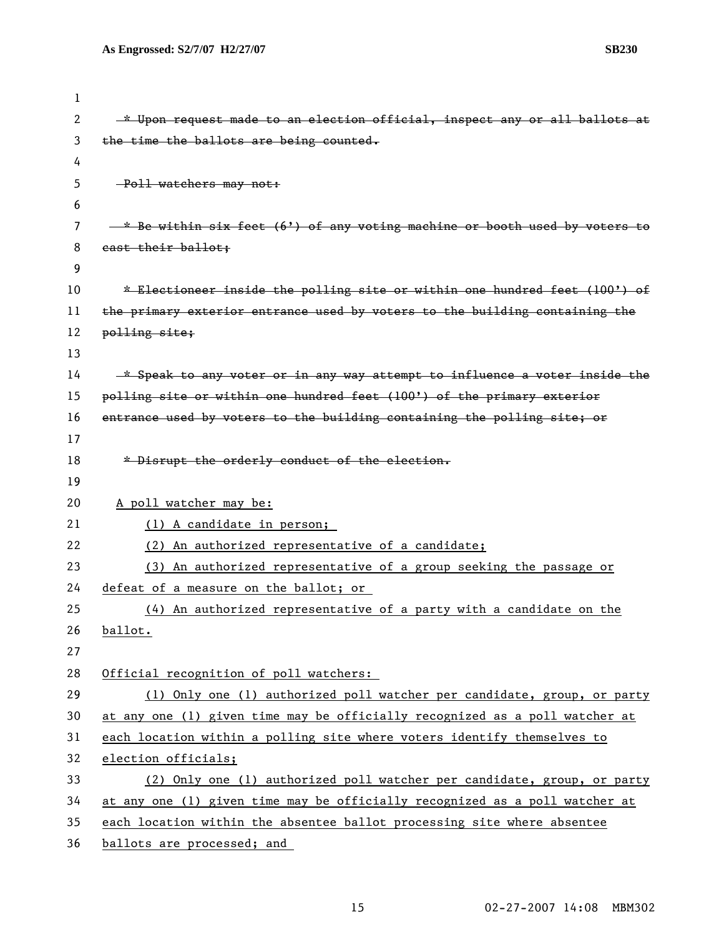| <b>SB230</b> |
|--------------|
|              |

| 1  |                                                                                |
|----|--------------------------------------------------------------------------------|
| 2  | * Upon request made to an election official, inspect any or all ballots at     |
| 3  | the time the ballots are being counted.                                        |
| 4  |                                                                                |
| 5. | -Poll watchers may not:                                                        |
| 6  |                                                                                |
| 7  | $*$ Be within six feet $(6')$ of any voting machine or booth used by voters to |
| 8  | east their ballot;                                                             |
| 9  |                                                                                |
| 10 | * Electioneer inside the polling site or within one hundred feet (100') of     |
| 11 | the primary exterior entrance used by voters to the building containing the    |
| 12 | polling site;                                                                  |
| 13 |                                                                                |
| 14 | -* Speak to any voter or in any way attempt to influence a voter inside the    |
| 15 | polling site or within one hundred feet (100') of the primary exterior         |
| 16 | entrance used by voters to the building containing the polling site; or        |
| 17 |                                                                                |
| 18 | * Disrupt the orderly conduct of the election.                                 |
| 19 |                                                                                |
| 20 | A poll watcher may be:                                                         |
| 21 | (1) A candidate in person;                                                     |
| 22 | (2) An authorized representative of a candidate;                               |
| 23 | (3) An authorized representative of a group seeking the passage or             |
| 24 | defeat of a measure on the ballot; or                                          |
| 25 | (4) An authorized representative of a party with a candidate on the            |
| 26 | ballot.                                                                        |
| 27 |                                                                                |
| 28 | Official recognition of poll watchers:                                         |
| 29 | (1) Only one (1) authorized poll watcher per candidate, group, or party        |
| 30 | at any one (1) given time may be officially recognized as a poll watcher at    |
| 31 | each location within a polling site where voters identify themselves to        |
| 32 | election officials;                                                            |
| 33 | (2) Only one (1) authorized poll watcher per candidate, group, or party        |
| 34 | at any one (1) given time may be officially recognized as a poll watcher at    |
| 35 | each location within the absentee ballot processing site where absentee        |
| 36 | ballots are processed; and                                                     |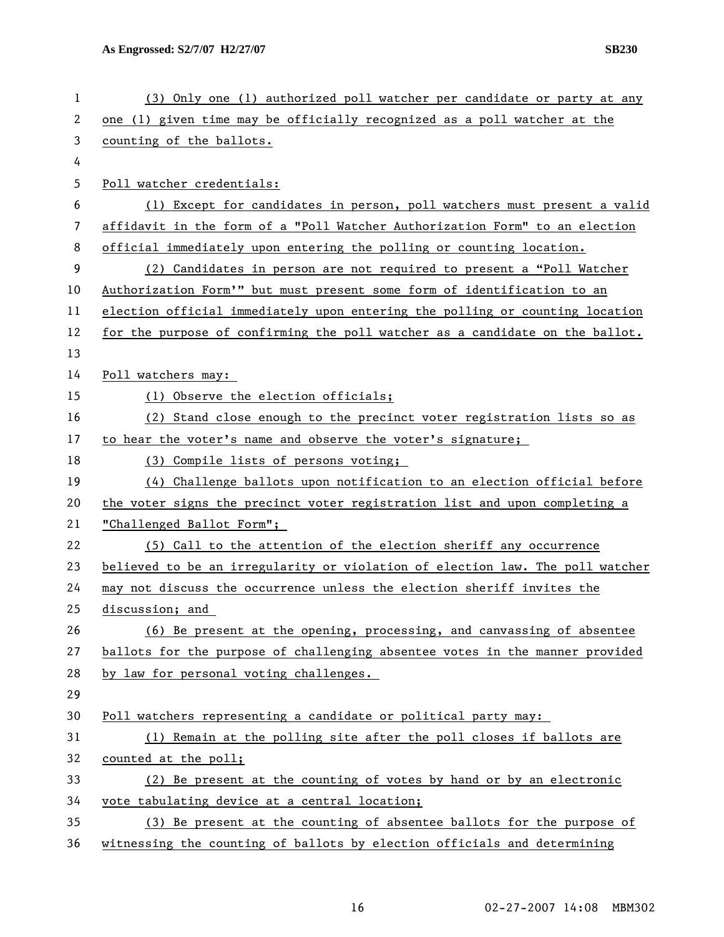| 1  | (3) Only one (1) authorized poll watcher per candidate or party at any        |
|----|-------------------------------------------------------------------------------|
| 2  | one (1) given time may be officially recognized as a poll watcher at the      |
| 3  | counting of the ballots.                                                      |
| 4  |                                                                               |
| 5  | Poll watcher credentials:                                                     |
| 6  | (1) Except for candidates in person, poll watchers must present a valid       |
| 7  | affidavit in the form of a "Poll Watcher Authorization Form" to an election   |
| 8  | official immediately upon entering the polling or counting location.          |
| 9  | (2) Candidates in person are not required to present a "Poll Watcher          |
| 10 | Authorization Form'" but must present some form of identification to an       |
| 11 | election official immediately upon entering the polling or counting location  |
| 12 | for the purpose of confirming the poll watcher as a candidate on the ballot.  |
| 13 |                                                                               |
| 14 | Poll watchers may:                                                            |
| 15 | (1) Observe the election officials;                                           |
| 16 | (2) Stand close enough to the precinct voter registration lists so as         |
| 17 | to hear the voter's name and observe the voter's signature;                   |
| 18 | (3) Compile lists of persons voting;                                          |
| 19 | (4) Challenge ballots upon notification to an election official before        |
| 20 | the voter signs the precinct voter registration list and upon completing a    |
| 21 | "Challenged Ballot Form";                                                     |
| 22 | (5) Call to the attention of the election sheriff any occurrence              |
| 23 | believed to be an irregularity or violation of election law. The poll watcher |
| 24 | may not discuss the occurrence unless the election sheriff invites the        |
| 25 | discussion; and                                                               |
| 26 | (6) Be present at the opening, processing, and canvassing of absentee         |
| 27 | ballots for the purpose of challenging absentee votes in the manner provided  |
| 28 | by law for personal voting challenges.                                        |
| 29 |                                                                               |
| 30 | Poll watchers representing a candidate or political party may:                |
| 31 | (1) Remain at the polling site after the poll closes if ballots are           |
| 32 | counted at the poll;                                                          |
| 33 | (2) Be present at the counting of votes by hand or by an electronic           |
| 34 | vote tabulating device at a central location;                                 |
| 35 | (3) Be present at the counting of absentee ballots for the purpose of         |
| 36 | witnessing the counting of ballots by election officials and determining      |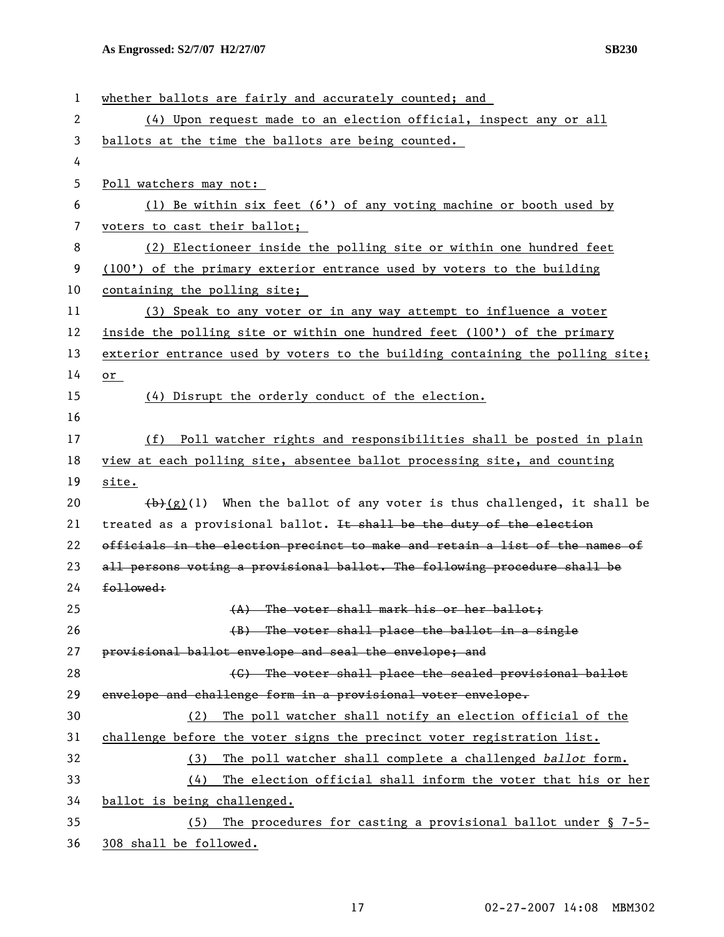| $\mathbf{1}$ | whether ballots are fairly and accurately counted; and                        |
|--------------|-------------------------------------------------------------------------------|
| 2            | (4) Upon request made to an election official, inspect any or all             |
| 3            | ballots at the time the ballots are being counted.                            |
| 4            |                                                                               |
| 5            | Poll watchers may not:                                                        |
| 6            | (1) Be within six feet $(6')$ of any voting machine or booth used by          |
| 7            | voters to cast their ballot;                                                  |
| 8            | (2) Electioneer inside the polling site or within one hundred feet            |
| 9            | (100') of the primary exterior entrance used by voters to the building        |
| 10           | containing the polling site;                                                  |
| 11           | (3) Speak to any voter or in any way attempt to influence a voter             |
| 12           | inside the polling site or within one hundred feet (100') of the primary      |
| 13           | exterior entrance used by voters to the building containing the polling site; |
| 14           | or                                                                            |
| 15           | (4) Disrupt the orderly conduct of the election.                              |
| 16           |                                                                               |
| 17           | (f) Poll watcher rights and responsibilities shall be posted in plain         |
| 18           | view at each polling site, absentee ballot processing site, and counting      |
| 19           | site.                                                                         |
| 20           | $(b)$ (g)(l) When the ballot of any voter is thus challenged, it shall be     |
| 21           | treated as a provisional ballot. It shall be the duty of the election         |
| 22           | officials in the election precinct to make and retain a list of the names of  |
| 23           | all persons voting a provisional ballot. The following procedure shall be     |
| 24           | followed:                                                                     |
| 25           | (A) The voter shall mark his or her ballot;                                   |
| 26           | (B) The voter shall place the ballot in a single                              |
| 27           | provisional ballot envelope and seal the envelope; and                        |
| 28           | (C) The voter shall place the sealed provisional ballot                       |
| 29           | envelope and challenge form in a provisional voter envelope.                  |
| 30           | The poll watcher shall notify an election official of the<br>(2)              |
| 31           | challenge before the voter signs the precinct voter registration list.        |
| 32           | The poll watcher shall complete a challenged ballot form.<br>(3)              |
| 33           | The election official shall inform the voter that his or her<br>(4)           |
| 34           | ballot is being challenged.                                                   |
| 35           | The procedures for casting a provisional ballot under $\S$ 7-5-<br>(5)        |
| 36           | 308 shall be followed.                                                        |